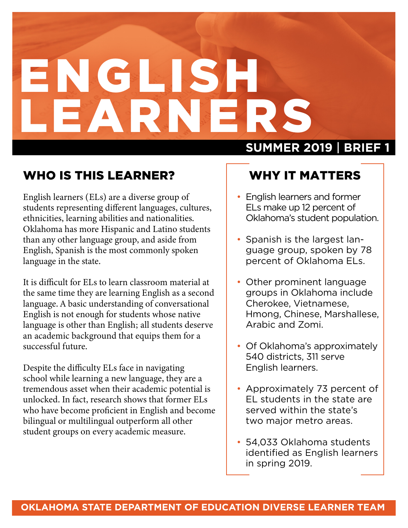# ENGLISH LEARNER.

#### WHO IS THIS LEARNER?

English learners (ELs) are a diverse group of students representing different languages, cultures, ethnicities, learning abilities and nationalities. Oklahoma has more Hispanic and Latino students than any other language group, and aside from English, Spanish is the most commonly spoken language in the state.

It is difficult for ELs to learn classroom material at the same time they are learning English as a second language. A basic understanding of conversational English is not enough for students whose native language is other than English; all students deserve an academic background that equips them for a successful future.

Despite the difficulty ELs face in navigating school while learning a new language, they are a tremendous asset when their academic potential is unlocked. In fact, research shows that former ELs who have become proficient in English and become bilingual or multilingual outperform all other student groups on every academic measure.

#### **SUMMER 2019** | **BRIEF 1**

#### WHY IT MATTERS

- English learners and former ELs make up 12 percent of Oklahoma's student population.
- Spanish is the largest language group, spoken by 78 percent of Oklahoma ELs.
- Other prominent language groups in Oklahoma include Cherokee, Vietnamese, Hmong, Chinese, Marshallese, Arabic and Zomi.
- Of Oklahoma's approximately 540 districts, 311 serve English learners.
- Approximately 73 percent of EL students in the state are served within the state's two major metro areas.
- 54,033 Oklahoma students identified as English learners in spring 2019.